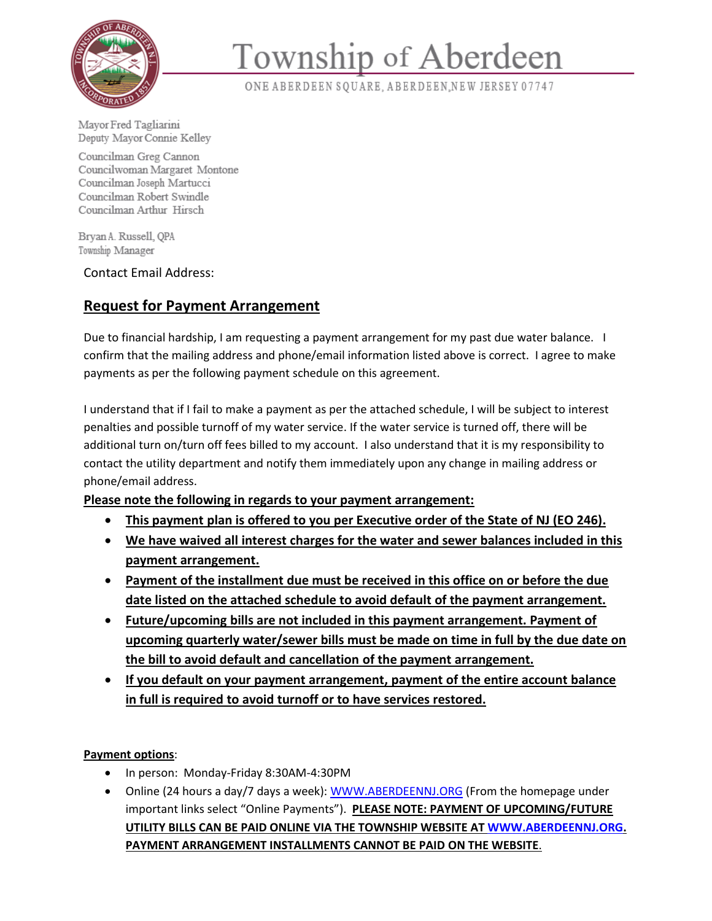

## Township of Aberdeen

ONE ABERDEEN SQUARE, ABERDEEN, NEW JERSEY 07747

Mayor Fred Tagliarini Deputy Mayor Connie Kelley<br>Councilman Greg Cannon

Councilwoman Margaret Montone<br>Councilman Joseph Martucci Councilman Robert Swindle Councilman Arthur Hirsch

Bryan A. Russell, QPA<br>Township Manager

Contact Email Address:

## **Request for Payment Arrangement**

Due to financial hardship, I am requesting a payment arrangement for my past due water balance. I confirm that the mailing address and phone/email information listed above is correct. I agree to make payments as per the following payment schedule on this agreement.

I understand that if I fail to make a payment as per the attached schedule, I will be subject to interest penalties and possible turnoff of my water service. If the water service is turned off, there will be additional turn on/turn off fees billed to my account. I also understand that it is my responsibility to contact the utility department and notify them immediately upon any change in mailing address or phone/email address.

**Please note the following in regards to your payment arrangement:** 

- **This payment plan is offered to you per Executive order of the State of NJ (EO 246).**
- **We have waived all interest charges for the water and sewer balances included in this payment arrangement.**
- **Payment of the installment due must be received in this office on or before the due date listed on the attached schedule to avoid default of the payment arrangement.**
- **Future/upcoming bills are not included in this payment arrangement. Payment of upcoming quarterly water/sewer bills must be made on time in full by the due date on the bill to avoid default and cancellation of the payment arrangement.**
- **If you default on your payment arrangement, payment of the entire account balance in full is required to avoid turnoff or to have services restored.**

**Payment options**:

- In person: Monday-Friday 8:30AM-4:30PM
- Online (24 hours a day/7 days a week): [WWW.ABERDEENNJ.ORG](http://www.aberdeennj.org/) (From the homepage under important links select "Online Payments"). **PLEASE NOTE: PAYMENT OF UPCOMING/FUTURE UTILITY BILLS CAN BE PAID ONLINE VIA THE TOWNSHIP WEBSITE AT [WWW.ABERDEENNJ.ORG.](http://www.aberdeennj.org/) PAYMENT ARRANGEMENT INSTALLMENTS CANNOT BE PAID ON THE WEBSITE**.